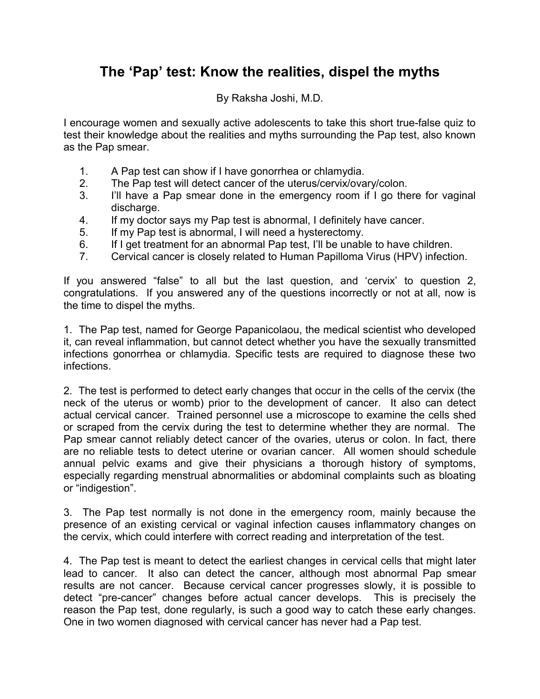## **The 'Pap' test: Know the realities, dispel the myths**

By Raksha Joshi, M.D.

I encourage women and sexually active adolescents to take this short true-false quiz to test their knowledge about the realities and myths surrounding the Pap test, also known as the Pap smear.

- 1. A Pap test can show if I have gonorrhea or chlamydia.
- 2. The Pap test will detect cancer of the uterus/cervix/ovary/colon.
- 3. I'll have a Pap smear done in the emergency room if I go there for vaginal discharge.
- 4. If my doctor says my Pap test is abnormal, I definitely have cancer.
- 5. If my Pap test is abnormal, I will need a hysterectomy.
- 6. If I get treatment for an abnormal Pap test, I'll be unable to have children.
- 7. Cervical cancer is closely related to Human Papilloma Virus (HPV) infection.

If you answered "false" to all but the last question, and 'cervix' to question 2, congratulations. If you answered any of the questions incorrectly or not at all, now is the time to dispel the myths.

1. The Pap test, named for George Papanicolaou, the medical scientist who developed it, can reveal inflammation, but cannot detect whether you have the sexually transmitted infections gonorrhea or chlamydia. Specific tests are required to diagnose these two infections.

2. The test is performed to detect early changes that occur in the cells of the cervix (the neck of the uterus or womb) prior to the development of cancer. It also can detect actual cervical cancer. Trained personnel use a microscope to examine the cells shed or scraped from the cervix during the test to determine whether they are normal. The Pap smear cannot reliably detect cancer of the ovaries, uterus or colon. In fact, there are no reliable tests to detect uterine or ovarian cancer. All women should schedule annual pelvic exams and give their physicians a thorough history of symptoms, especially regarding menstrual abnormalities or abdominal complaints such as bloating or "indigestion".

3. The Pap test normally is not done in the emergency room, mainly because the presence of an existing cervical or vaginal infection causes inflammatory changes on the cervix, which could interfere with correct reading and interpretation of the test.

4. The Pap test is meant to detect the earliest changes in cervical cells that might later lead to cancer. It also can detect the cancer, although most abnormal Pap smear results are not cancer. Because cervical cancer progresses slowly, it is possible to detect "pre-cancer" changes before actual cancer develops. This is precisely the reason the Pap test, done regularly, is such a good way to catch these early changes. One in two women diagnosed with cervical cancer has never had a Pap test.